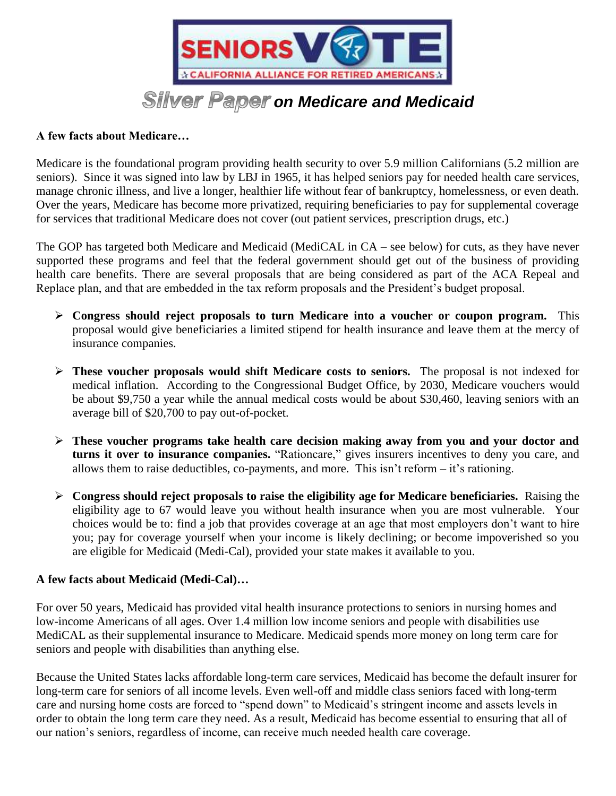

## **A few facts about Medicare…**

Medicare is the foundational program providing health security to over 5.9 million Californians (5.2 million are seniors). Since it was signed into law by LBJ in 1965, it has helped seniors pay for needed health care services, manage chronic illness, and live a longer, healthier life without fear of bankruptcy, homelessness, or even death. Over the years, Medicare has become more privatized, requiring beneficiaries to pay for supplemental coverage for services that traditional Medicare does not cover (out patient services, prescription drugs, etc.)

The GOP has targeted both Medicare and Medicaid (MediCAL in CA – see below) for cuts, as they have never supported these programs and feel that the federal government should get out of the business of providing health care benefits. There are several proposals that are being considered as part of the ACA Repeal and Replace plan, and that are embedded in the tax reform proposals and the President's budget proposal.

- **Congress should reject proposals to turn Medicare into a voucher or coupon program.** This proposal would give beneficiaries a limited stipend for health insurance and leave them at the mercy of insurance companies.
- **These voucher proposals would shift Medicare costs to seniors.** The proposal is not indexed for medical inflation. According to the Congressional Budget Office, by 2030, Medicare vouchers would be about \$9,750 a year while the annual medical costs would be about \$30,460, leaving seniors with an average bill of \$20,700 to pay out-of-pocket.
- **These voucher programs take health care decision making away from you and your doctor and turns it over to insurance companies.** "Rationcare," gives insurers incentives to deny you care, and allows them to raise deductibles, co-payments, and more. This isn't reform – it's rationing.
- **Congress should reject proposals to raise the eligibility age for Medicare beneficiaries.** Raising the eligibility age to 67 would leave you without health insurance when you are most vulnerable. Your choices would be to: find a job that provides coverage at an age that most employers don't want to hire you; pay for coverage yourself when your income is likely declining; or become impoverished so you are eligible for Medicaid (Medi-Cal), provided your state makes it available to you.

## **A few facts about Medicaid (Medi-Cal)…**

For over 50 years, Medicaid has provided vital health insurance protections to seniors in nursing homes and low-income Americans of all ages. Over 1.4 million low income seniors and people with disabilities use MediCAL as their supplemental insurance to Medicare. Medicaid spends more money on long term care for seniors and people with disabilities than anything else.

Because the United States lacks affordable long-term care services, Medicaid has become the default insurer for long-term care for seniors of all income levels. Even well-off and middle class seniors faced with long-term care and nursing home costs are forced to "spend down" to Medicaid's stringent income and assets levels in order to obtain the long term care they need. As a result, Medicaid has become essential to ensuring that all of our nation's seniors, regardless of income, can receive much needed health care coverage.